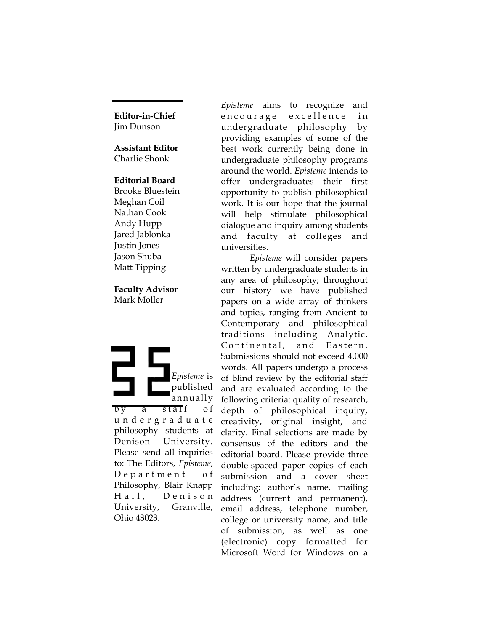**Editor-in-Chief** Jim Dunson

#### **Assistant Editor** Charlie Shonk

#### **Editorial Board**

Brooke Bluestein Meghan Coil Nathan Cook Andy Hupp Jared Jablonka Justin Jones Jason Shuba Matt Tipping

### **Faculty Advisor** Mark Moller

*Episteme* is published annually by a staff of u n d e r g r a d u a t e philosophy students at Denison University. Please send all inquiries to: The Editors, *Episteme*, Department of Philosophy, Blair Knapp Hall, Denison University, Granville, Ohio 43023.

*Episteme* aims to recognize and en courage excellence in undergraduate philosophy by providing examples of some of the best work currently being done in undergraduate philosophy programs around the world. *Episteme* intends to offer undergraduates their first opportunity to publish philosophical work. It is our hope that the journal will help stimulate philosophical dialogue and inquiry among students and faculty at colleges and universities.

*Episteme* will consider papers written by undergraduate students in any area of philosophy; throughout our history we have published papers on a wide array of thinkers and topics, ranging from Ancient to Contemporary and philosophical traditions including Analytic, Continental, and Eastern. Submissions should not exceed 4,000 words. All papers undergo a process of blind review by the editorial staff and are evaluated according to the following criteria: quality of research, depth of philosophical inquiry, creativity, original insight, and clarity. Final selections are made by consensus of the editors and the editorial board. Please provide three double-spaced paper copies of each submission and a cover sheet including: author's name, mailing address (current and permanent), email address, telephone number, college or university name, and title of submission, as well as one (electronic) copy formatted for Microsoft Word for Windows on a